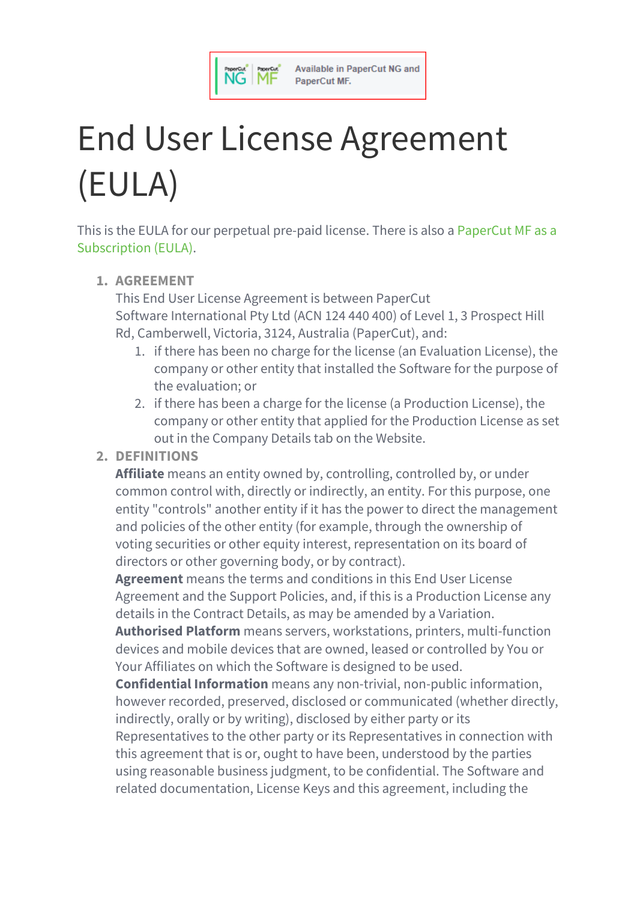

# End User License Agreement (EULA)

This is the EULA for our perpetual pre-paid license. There is also a [PaperCut](https://www.papercut.com/support/resources/manuals/ng-mf/common/topics/license-MFaaS.html) MF as a [Subscription](https://www.papercut.com/support/resources/manuals/ng-mf/common/topics/license-MFaaS.html) (EULA).

# **1. AGREEMENT**

This End User License Agreement is between PaperCut Software International Pty Ltd (ACN 124 440 400) of Level 1, 3 Prospect Hill Rd, Camberwell, Victoria, 3124, Australia (PaperCut), and:

- 1. if there has been no charge for the license (an Evaluation License), the company or other entity that installed the Software for the purpose of the evaluation; or
- 2. if there has been a charge for the license (a Production License), the company or other entity that applied for the Production License as set out in the Company Details tab on the Website.

# **2. DEFINITIONS**

**Affiliate** means an entity owned by, controlling, controlled by, or under common control with, directly or indirectly, an entity. For this purpose, one entity "controls" another entity if it has the power to direct the management and policies of the other entity (for example, through the ownership of voting securities or other equity interest, representation on its board of directors or other governing body, or by contract).

**Agreement** means the terms and conditions in this End User License Agreement and the Support Policies, and, if this is a Production License any details in the Contract Details, as may be amended by a Variation.

**Authorised Platform** means servers, workstations, printers, multi-function devices and mobile devices that are owned, leased or controlled by You or Your Affiliates on which the Software is designed to be used.

**Confidential Information** means any non-trivial, non-public information, however recorded, preserved, disclosed or communicated (whether directly, indirectly, orally or by writing), disclosed by either party or its Representatives to the other party or its Representatives in connection with this agreement that is or, ought to have been, understood by the parties using reasonable business judgment, to be confidential. The Software and related documentation, License Keys and this agreement, including the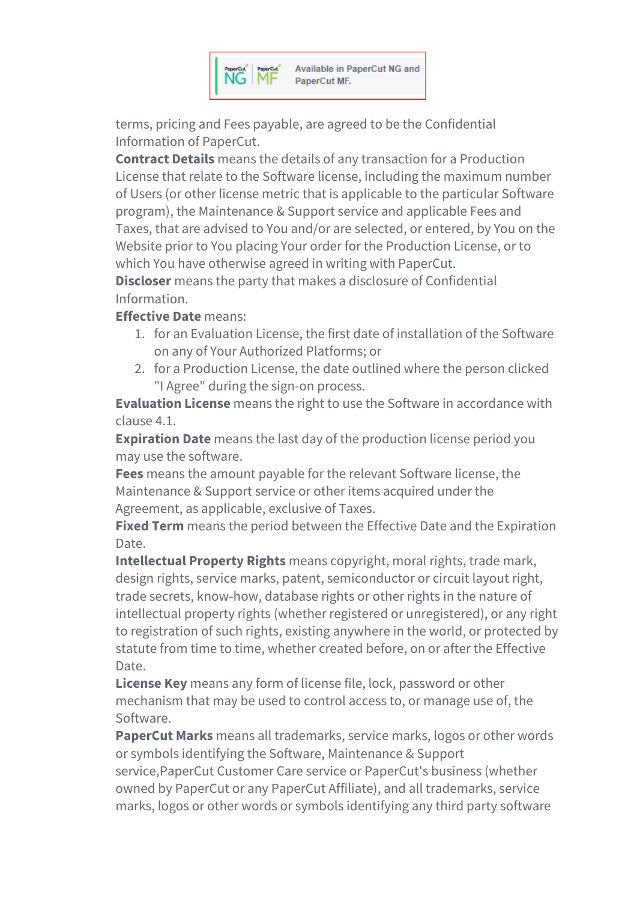

terms, pricing and Fees payable, are agreed to be the Confidential Information of PaperCut.

**Contract Details** means the details of any transaction for a Production License that relate to the Software license, including the maximum number of Users (or other license metric that is applicable to the particular Software program), the Maintenance & Support service and applicable Fees and Taxes, that are advised to You and/or are selected, or entered, by You on the Website prior to You placing Your order for the Production License, or to which You have otherwise agreed in writing with PaperCut.

**Discloser** means the party that makes a disclosure of Confidential Information.

## **Effective Date** means:

- 1. for an Evaluation License, the first date of installation of the Software on any of Your Authorized Platforms; or
- 2. for a Production License, the date outlined where the person clicked "I Agree" during the sign-on process.

**Evaluation License** means the right to use the Software in accordance with clause 4.1.

**Expiration Date** means the last day of the production license period you may use the software.

**Fees** means the amount payable for the relevant Software license, the Maintenance & Support service or other items acquired under the Agreement, as applicable, exclusive of Taxes.

**Fixed Term** means the period between the Effective Date and the Expiration Date.

**Intellectual Property Rights** means copyright, moral rights, trade mark, design rights, service marks, patent, semiconductor or circuit layout right, trade secrets, know-how, database rights or other rights in the nature of intellectual property rights (whether registered or unregistered), or any right to registration of such rights, existing anywhere in the world, or protected by statute from time to time, whether created before, on or after the Effective Date.

**License Key** means any form of license file, lock, password or other mechanism that may be used to control access to, or manage use of, the Software.

**PaperCut Marks** means all trademarks, service marks, logos or other words or symbols identifying the Software, Maintenance & Support service,PaperCut Customer Care service or PaperCut's business (whether owned by PaperCut or any PaperCut Affiliate), and all trademarks, service marks, logos or other words or symbols identifying any third party software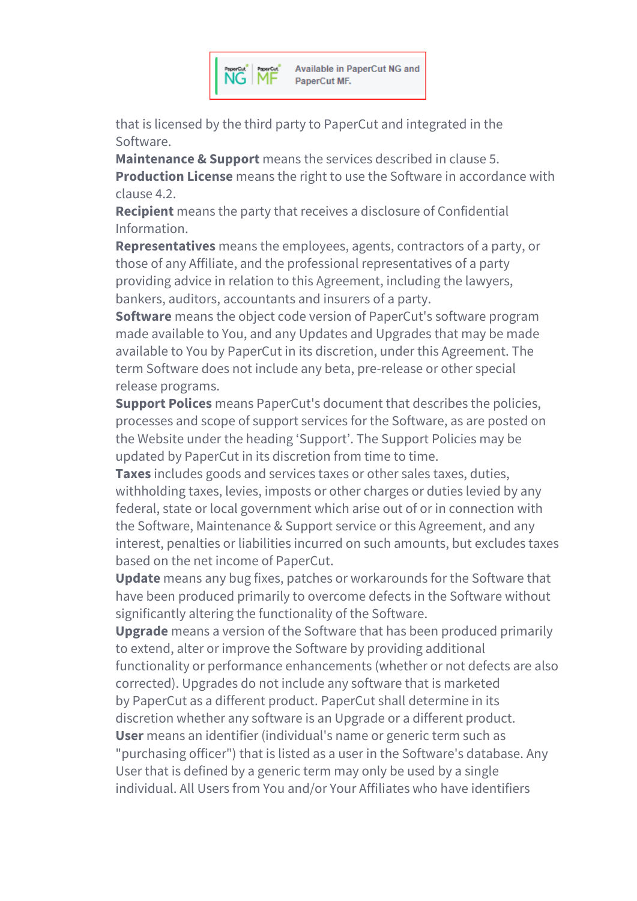

that is licensed by the third party to PaperCut and integrated in the Software.

**Maintenance & Support** means the services described in clause 5. **Production License** means the right to use the Software in accordance with clause 4.2.

**Recipient** means the party that receives a disclosure of Confidential Information.

**Representatives** means the employees, agents, contractors of a party, or those of any Affiliate, and the professional representatives of a party providing advice in relation to this Agreement, including the lawyers, bankers, auditors, accountants and insurers of a party.

**Software** means the object code version of PaperCut's software program made available to You, and any Updates and Upgrades that may be made available to You by PaperCut in its discretion, under this Agreement. The term Software does not include any beta, pre-release or other special release programs.

**Support Polices** means PaperCut's document that describes the policies, processes and scope of support services for the Software, as are posted on the Website under the heading 'Support'. The Support Policies may be updated by PaperCut in its discretion from time to time.

**Taxes** includes goods and services taxes or other sales taxes, duties, withholding taxes, levies, imposts or other charges or duties levied by any federal, state or local government which arise out of or in connection with the Software, Maintenance & Support service or this Agreement, and any interest, penalties or liabilities incurred on such amounts, but excludes taxes based on the net income of PaperCut.

**Update** means any bug fixes, patches or workarounds for the Software that have been produced primarily to overcome defects in the Software without significantly altering the functionality of the Software.

**Upgrade** means a version of the Software that has been produced primarily to extend, alter or improve the Software by providing additional functionality or performance enhancements (whether or not defects are also

corrected). Upgrades do not include any software that is marketed by PaperCut as a different product. PaperCut shall determine in its

discretion whether any software is an Upgrade or a different product.

**User** means an identifier (individual's name or generic term such as "purchasing officer") that is listed as a user in the Software's database. Any User that is defined by a generic term may only be used by a single individual. All Users from You and/or Your Affiliates who have identifiers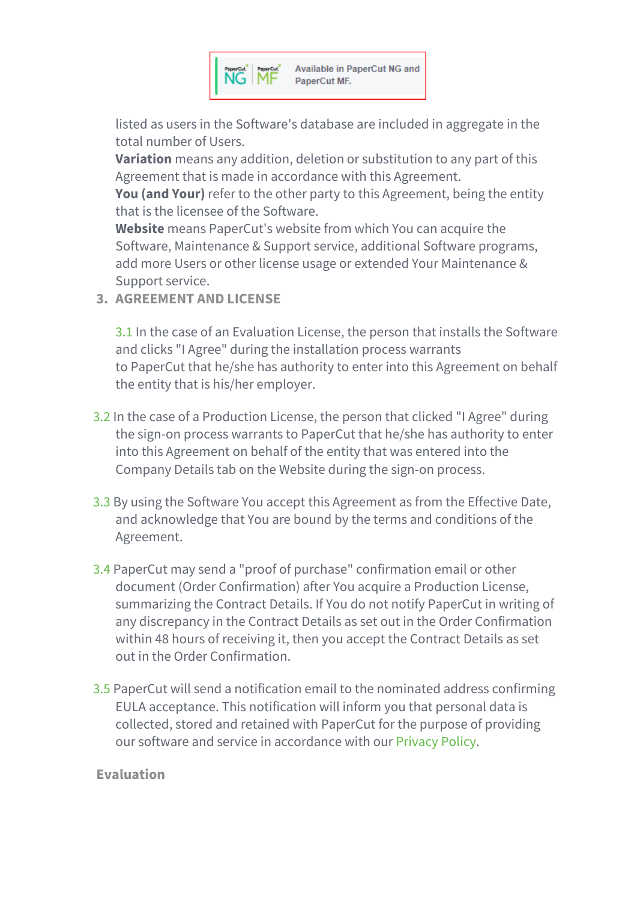

listed as users in the Software's database are included in aggregate in the total number of Users.

**Variation** means any addition, deletion or substitution to any part of this Agreement that is made in accordance with this Agreement.

**You (and Your)** refer to the other party to this Agreement, being the entity that is the licensee of the Software.

**Website** means PaperCut's website from which You can acquire the Software, Maintenance & Support service, additional Software programs, add more Users or other license usage or extended Your Maintenance & Support service.

**3. AGREEMENT AND LICENSE**

3.1 In the case of an Evaluation License, the person that installs the Software and clicks "I Agree" during the installation process warrants to PaperCut that he/she has authority to enter into this Agreement on behalf the entity that is his/her employer.

- 3.2 In the case of a Production License, the person that clicked "I Agree" during the sign-on process warrants to PaperCut that he/she has authority to enter into this Agreement on behalf of the entity that was entered into the Company Details tab on the Website during the sign-on process.
- 3.3 By using the Software You accept this Agreement as from the Effective Date, and acknowledge that You are bound by the terms and conditions of the Agreement.
- 3.4 PaperCut may send a "proof of purchase" confirmation email or other document (Order Confirmation) after You acquire a Production License, summarizing the Contract Details. If You do not notify PaperCut in writing of any discrepancy in the Contract Details as set out in the Order Confirmation within 48 hours of receiving it, then you accept the Contract Details as set out in the Order Confirmation.
- 3.5 PaperCut will send a notification email to the nominated address confirming EULA acceptance. This notification will inform you that personal data is collected, stored and retained with PaperCut for the purpose of providing our software and service in accordance with our [Privacy](https://www.papercut.com/privacy-policy/) Policy.

## **Evaluation**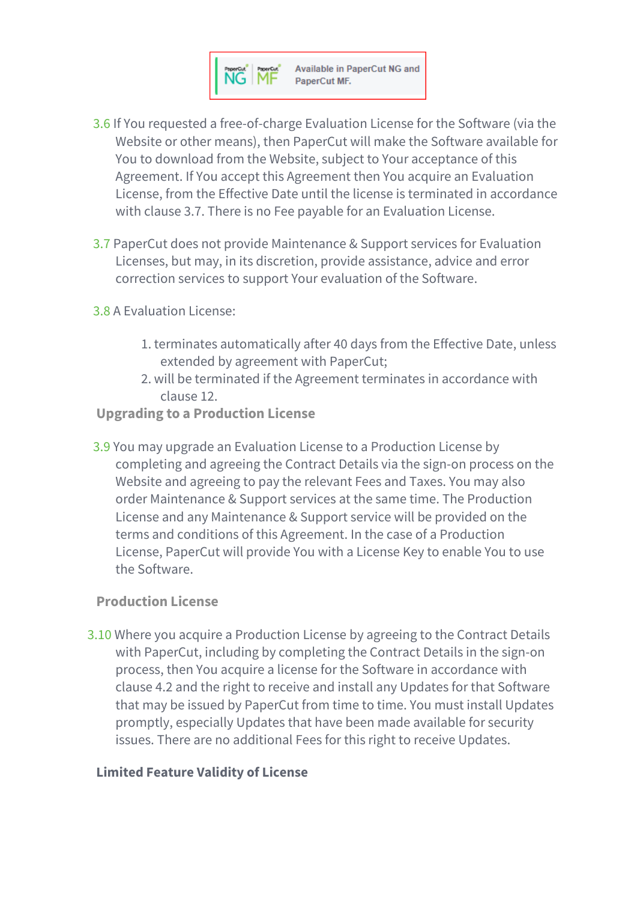

- 3.6 If You requested a free-of-charge Evaluation License for the Software (via the Website or other means), then PaperCut will make the Software available for You to download from the Website, subject to Your acceptance of this Agreement. If You accept this Agreement then You acquire an Evaluation License, from the Effective Date until the license is terminated in accordance with clause 3.7. There is no Fee payable for an Evaluation License.
- 3.7 PaperCut does not provide Maintenance & Support services for Evaluation Licenses, but may, in its discretion, provide assistance, advice and error correction services to support Your evaluation of the Software.
- 3.8 A Evaluation License:
	- 1. terminates automatically after 40 days from the Effective Date, unless extended by agreement with PaperCut;
	- 2. will be terminated if the Agreement terminates in accordance with clause 12.
- **Upgrading to a Production License**
- 3.9 You may upgrade an Evaluation License to a Production License by completing and agreeing the Contract Details via the sign-on process on the Website and agreeing to pay the relevant Fees and Taxes. You may also order Maintenance & Support services at the same time. The Production License and any Maintenance & Support service will be provided on the terms and conditions of this Agreement. In the case of a Production License, PaperCut will provide You with a License Key to enable You to use the Software.

#### **Production License**

3.10 Where you acquire a Production License by agreeing to the Contract Details with PaperCut, including by completing the Contract Details in the sign-on process, then You acquire a license for the Software in accordance with clause 4.2 and the right to receive and install any Updates for that Software that may be issued by PaperCut from time to time. You must install Updates promptly, especially Updates that have been made available for security issues. There are no additional Fees for this right to receive Updates.

#### **Limited Feature Validity of License**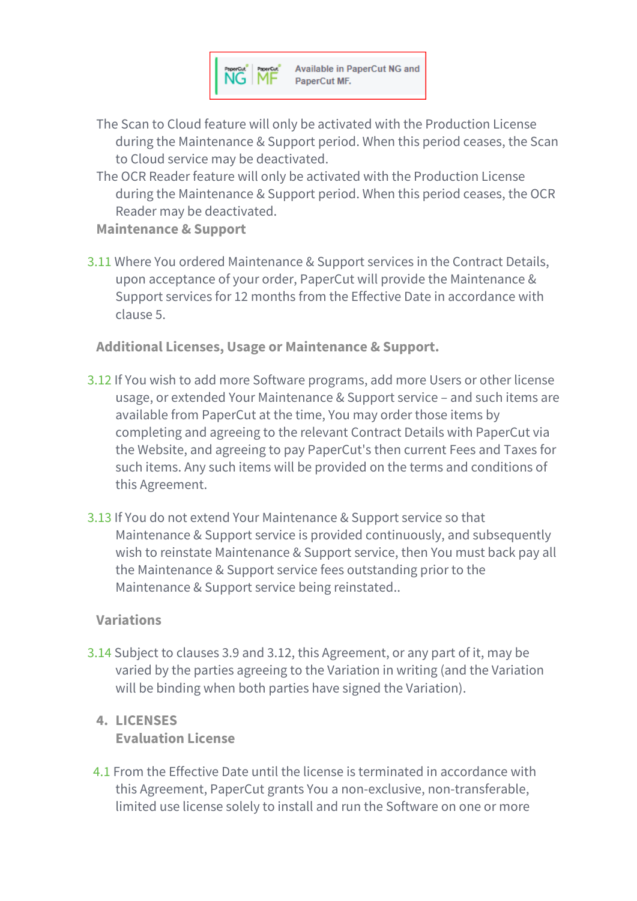

- The Scan to Cloud feature will only be activated with the Production License during the Maintenance & Support period. When this period ceases, the Scan to Cloud service may be deactivated.
- The OCR Reader feature will only be activated with the Production License during the Maintenance & Support period. When this period ceases, the OCR Reader may be deactivated.

**Maintenance & Support**

3.11 Where You ordered Maintenance & Support services in the Contract Details, upon acceptance of your order, PaperCut will provide the Maintenance & Support services for 12 months from the Effective Date in accordance with clause 5.

**Additional Licenses, Usage or Maintenance & Support.**

- 3.12 If You wish to add more Software programs, add more Users or other license usage, or extended Your Maintenance & Support service – and such items are available from PaperCut at the time, You may order those items by completing and agreeing to the relevant Contract Details with PaperCut via the Website, and agreeing to pay PaperCut's then current Fees and Taxes for such items. Any such items will be provided on the terms and conditions of this Agreement.
- 3.13 If You do not extend Your Maintenance & Support service so that Maintenance & Support service is provided continuously, and subsequently wish to reinstate Maintenance & Support service, then You must back pay all the Maintenance & Support service fees outstanding prior to the Maintenance & Support service being reinstated..

#### **Variations**

3.14 Subject to clauses 3.9 and 3.12, this Agreement, or any part of it, may be varied by the parties agreeing to the Variation in writing (and the Variation will be binding when both parties have signed the Variation).

# **4. LICENSES Evaluation License**

4.1 From the Effective Date until the license is terminated in accordance with this Agreement, PaperCut grants You a non-exclusive, non-transferable, limited use license solely to install and run the Software on one or more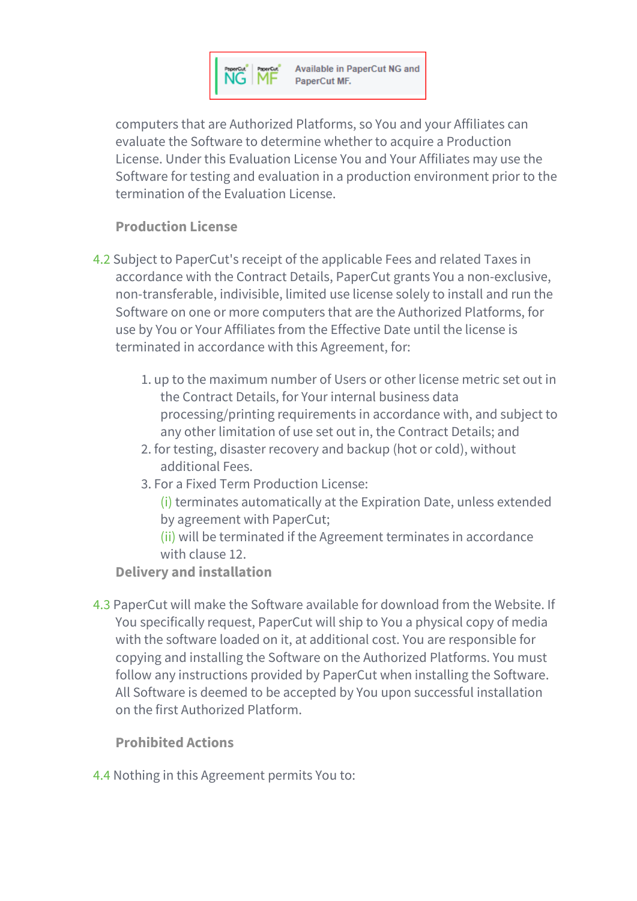

computers that are Authorized Platforms, so You and your Affiliates can evaluate the Software to determine whether to acquire a Production License. Under this Evaluation License You and Your Affiliates may use the Software for testing and evaluation in a production environment prior to the termination of the Evaluation License.

## **Production License**

- 4.2 Subject to PaperCut's receipt of the applicable Fees and related Taxes in accordance with the Contract Details, PaperCut grants You a non-exclusive, non-transferable, indivisible, limited use license solely to install and run the Software on one or more computers that are the Authorized Platforms, for use by You or Your Affiliates from the Effective Date until the license is terminated in accordance with this Agreement, for:
	- 1. up to the maximum number of Users or other license metric set out in the Contract Details, for Your internal business data processing/printing requirements in accordance with, and subject to any other limitation of use set out in, the Contract Details; and
	- 2. for testing, disaster recovery and backup (hot or cold), without additional Fees.
	- 3. For a Fixed Term Production License:
		- (i) terminates automatically at the Expiration Date, unless extended by agreement with PaperCut;

(ii) will be terminated if the Agreement terminates in accordance with clause 12.

**Delivery and installation**

4.3 PaperCut will make the Software available for download from the Website. If You specifically request, PaperCut will ship to You a physical copy of media with the software loaded on it, at additional cost. You are responsible for copying and installing the Software on the Authorized Platforms. You must follow any instructions provided by PaperCut when installing the Software. All Software is deemed to be accepted by You upon successful installation on the first Authorized Platform.

**Prohibited Actions**

4.4 Nothing in this Agreement permits You to: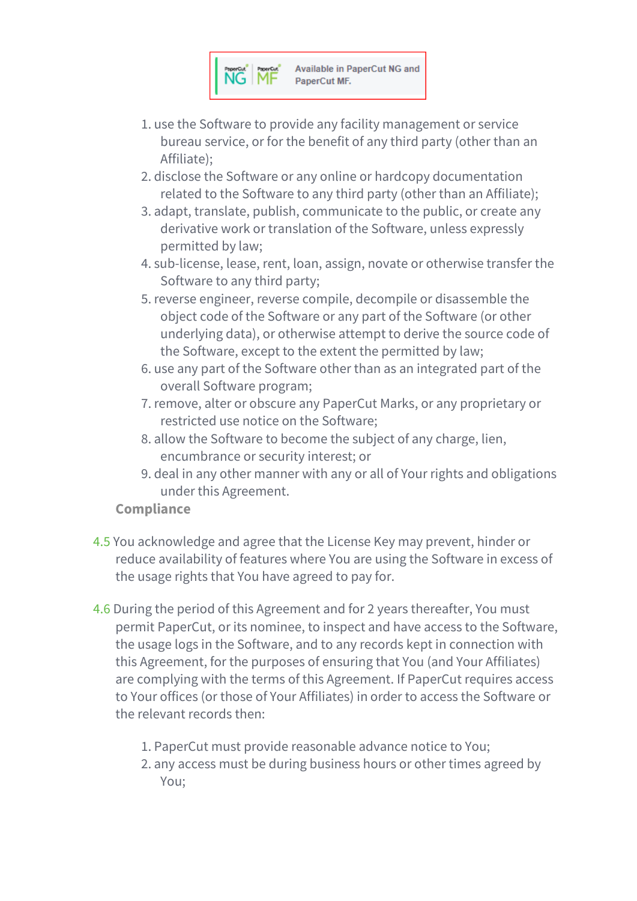

- 1. use the Software to provide any facility management or service bureau service, or for the benefit of any third party (other than an Affiliate);
- 2. disclose the Software or any online or hardcopy documentation related to the Software to any third party (other than an Affiliate);
- 3. adapt, translate, publish, communicate to the public, or create any derivative work or translation of the Software, unless expressly permitted by law;
- 4. sub-license, lease, rent, loan, assign, novate or otherwise transfer the Software to any third party;
- 5. reverse engineer, reverse compile, decompile or disassemble the object code of the Software or any part of the Software (or other underlying data), or otherwise attempt to derive the source code of the Software, except to the extent the permitted by law;
- 6. use any part of the Software other than as an integrated part of the overall Software program;
- 7. remove, alter or obscure any PaperCut Marks, or any proprietary or restricted use notice on the Software;
- 8. allow the Software to become the subject of any charge, lien, encumbrance or security interest; or
- 9. deal in any other manner with any or all of Your rights and obligations under this Agreement.

# **Compliance**

- 4.5 You acknowledge and agree that the License Key may prevent, hinder or reduce availability of features where You are using the Software in excess of the usage rights that You have agreed to pay for.
- 4.6 During the period of this Agreement and for 2 years thereafter, You must permit PaperCut, or its nominee, to inspect and have access to the Software, the usage logs in the Software, and to any records kept in connection with this Agreement, for the purposes of ensuring that You (and Your Affiliates) are complying with the terms of this Agreement. If PaperCut requires access to Your offices (or those of Your Affiliates) in order to access the Software or the relevant records then:
	- 1. PaperCut must provide reasonable advance notice to You;
	- 2. any access must be during business hours or other times agreed by You;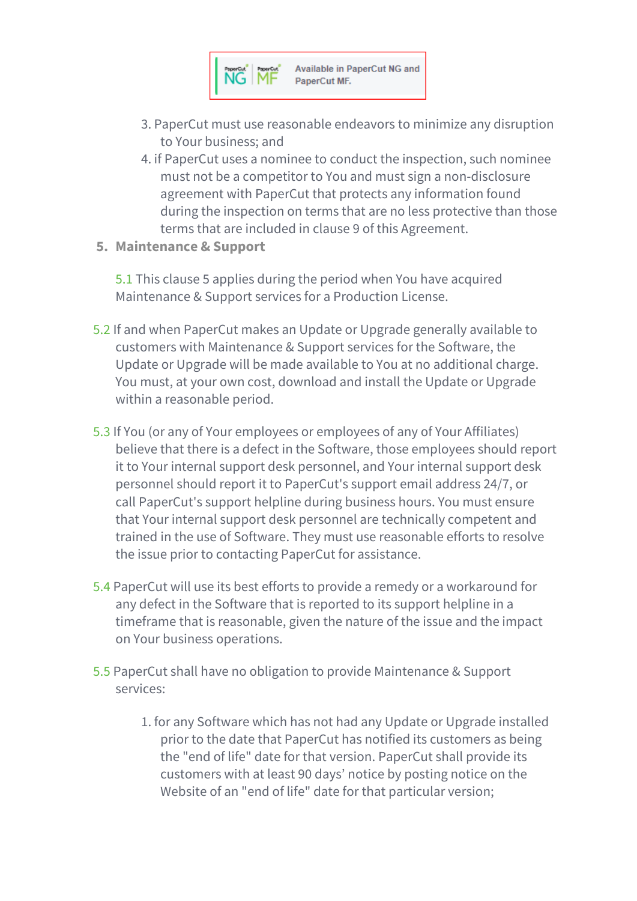

- 3. PaperCut must use reasonable endeavors to minimize any disruption to Your business; and
- 4. if PaperCut uses a nominee to conduct the inspection, such nominee must not be a competitor to You and must sign a non-disclosure agreement with PaperCut that protects any information found during the inspection on terms that are no less protective than those terms that are included in clause 9 of this Agreement.
- **5. Maintenance & Support**

5.1 This clause 5 applies during the period when You have acquired Maintenance & Support services for a Production License.

- 5.2 If and when PaperCut makes an Update or Upgrade generally available to customers with Maintenance & Support services for the Software, the Update or Upgrade will be made available to You at no additional charge. You must, at your own cost, download and install the Update or Upgrade within a reasonable period.
- 5.3 If You (or any of Your employees or employees of any of Your Affiliates) believe that there is a defect in the Software, those employees should report it to Your internal support desk personnel, and Your internal support desk personnel should report it to PaperCut's support email address 24/7, or call PaperCut's support helpline during business hours. You must ensure that Your internal support desk personnel are technically competent and trained in the use of Software. They must use reasonable efforts to resolve the issue prior to contacting PaperCut for assistance.
- 5.4 PaperCut will use its best efforts to provide a remedy or a workaround for any defect in the Software that is reported to its support helpline in a timeframe that is reasonable, given the nature of the issue and the impact on Your business operations.
- 5.5 PaperCut shall have no obligation to provide Maintenance & Support services:
	- 1. for any Software which has not had any Update or Upgrade installed prior to the date that PaperCut has notified its customers as being the "end of life" date for that version. PaperCut shall provide its customers with at least 90 days' notice by posting notice on the Website of an "end of life" date for that particular version;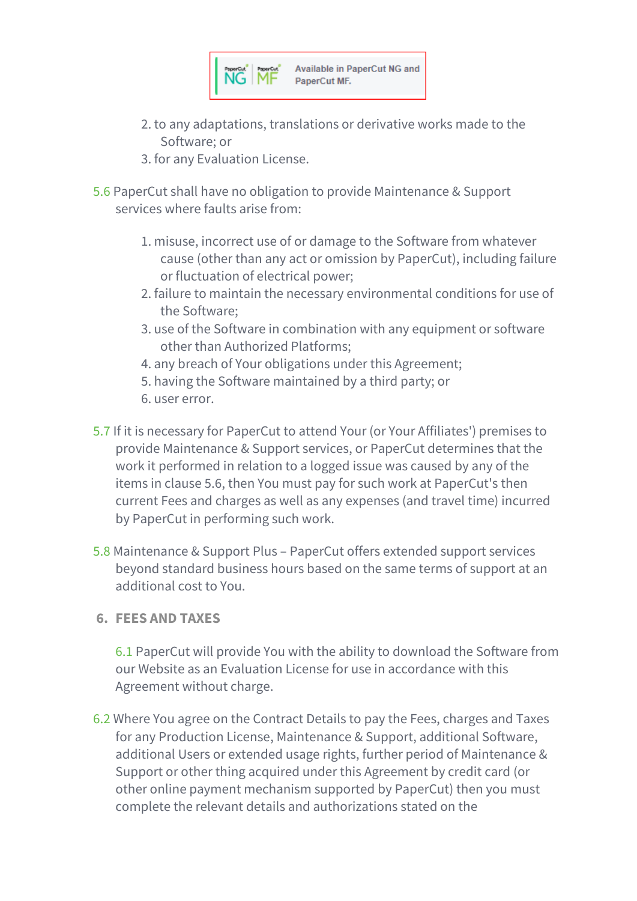

- 2. to any adaptations, translations or derivative works made to the Software; or
- 3. for any Evaluation License.
- 5.6 PaperCut shall have no obligation to provide Maintenance & Support services where faults arise from:
	- 1. misuse, incorrect use of or damage to the Software from whatever cause (other than any act or omission by PaperCut), including failure or fluctuation of electrical power;
	- 2. failure to maintain the necessary environmental conditions for use of the Software;
	- 3. use of the Software in combination with any equipment or software other than Authorized Platforms;
	- 4. any breach of Your obligations under this Agreement;
	- 5. having the Software maintained by a third party; or
	- 6. user error.
- 5.7 If it is necessary for PaperCut to attend Your (or Your Affiliates') premises to provide Maintenance & Support services, or PaperCut determines that the work it performed in relation to a logged issue was caused by any of the items in clause 5.6, then You must pay for such work at PaperCut's then current Fees and charges as well as any expenses (and travel time) incurred by PaperCut in performing such work.
- 5.8 Maintenance & Support Plus PaperCut offers extended support services beyond standard business hours based on the same terms of support at an additional cost to You.
- **6. FEES AND TAXES**

6.1 PaperCut will provide You with the ability to download the Software from our Website as an Evaluation License for use in accordance with this Agreement without charge.

6.2 Where You agree on the Contract Details to pay the Fees, charges and Taxes for any Production License, Maintenance & Support, additional Software, additional Users or extended usage rights, further period of Maintenance & Support or other thing acquired under this Agreement by credit card (or other online payment mechanism supported by PaperCut) then you must complete the relevant details and authorizations stated on the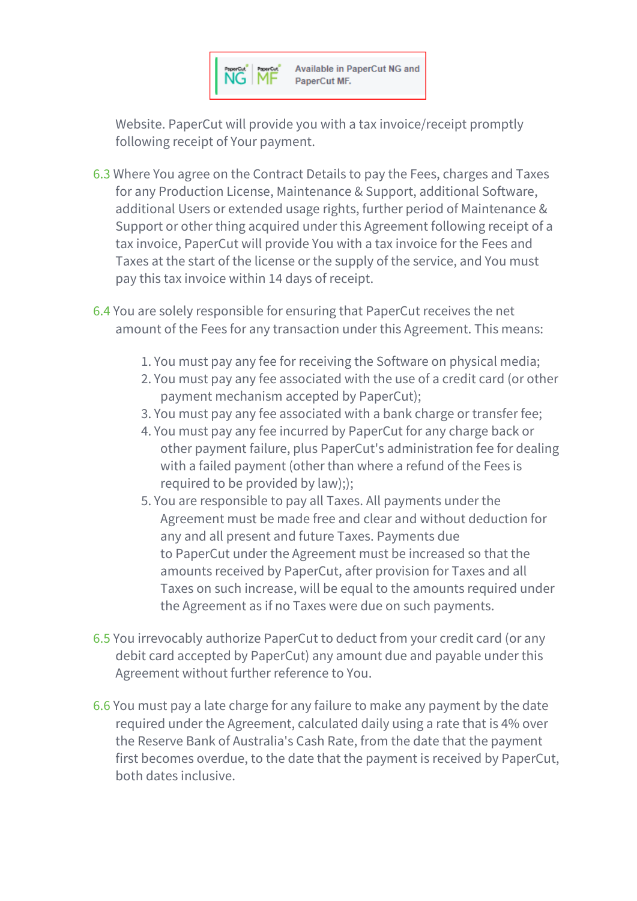

Website. PaperCut will provide you with a tax invoice/receipt promptly following receipt of Your payment.

- 6.3 Where You agree on the Contract Details to pay the Fees, charges and Taxes for any Production License, Maintenance & Support, additional Software, additional Users or extended usage rights, further period of Maintenance & Support or other thing acquired under this Agreement following receipt of a tax invoice, PaperCut will provide You with a tax invoice for the Fees and Taxes at the start of the license or the supply of the service, and You must pay this tax invoice within 14 days of receipt.
- 6.4 You are solely responsible for ensuring that PaperCut receives the net amount of the Fees for any transaction under this Agreement. This means:
	- 1. You must pay any fee for receiving the Software on physical media;
	- 2. You must pay any fee associated with the use of a credit card (or other payment mechanism accepted by PaperCut);
	- 3. You must pay any fee associated with a bank charge or transfer fee;
	- 4. You must pay any fee incurred by PaperCut for any charge back or other payment failure, plus PaperCut's administration fee for dealing with a failed payment (other than where a refund of the Fees is required to be provided by law););
	- 5. You are responsible to pay all Taxes. All payments under the Agreement must be made free and clear and without deduction for any and all present and future Taxes. Payments due to PaperCut under the Agreement must be increased so that the amounts received by PaperCut, after provision for Taxes and all Taxes on such increase, will be equal to the amounts required under the Agreement as if no Taxes were due on such payments.
- 6.5 You irrevocably authorize PaperCut to deduct from your credit card (or any debit card accepted by PaperCut) any amount due and payable under this Agreement without further reference to You.
- 6.6 You must pay a late charge for any failure to make any payment by the date required under the Agreement, calculated daily using a rate that is 4% over the Reserve Bank of Australia's Cash Rate, from the date that the payment first becomes overdue, to the date that the payment is received by PaperCut, both dates inclusive.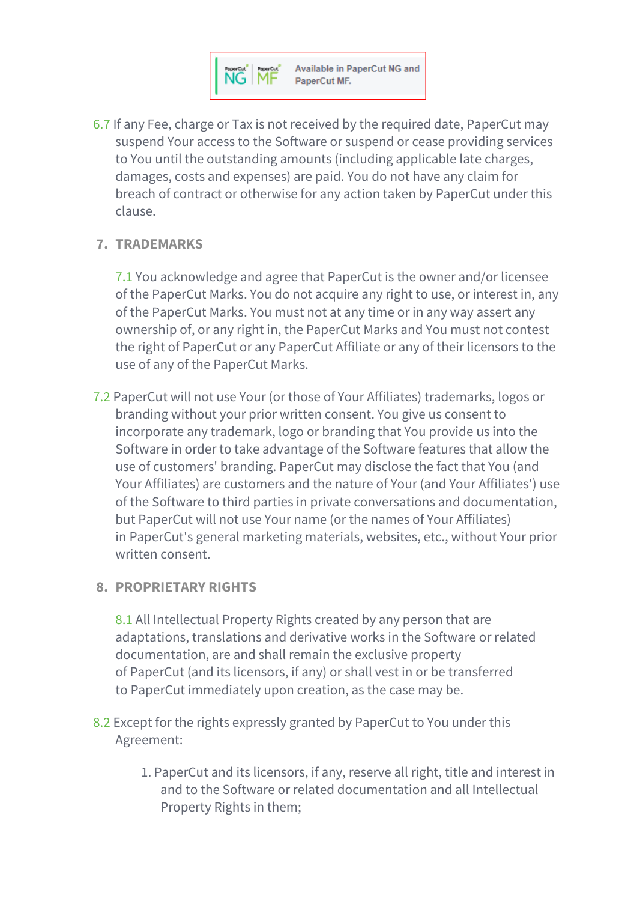

6.7 If any Fee, charge or Tax is not received by the required date, PaperCut may suspend Your access to the Software or suspend or cease providing services to You until the outstanding amounts (including applicable late charges, damages, costs and expenses) are paid. You do not have any claim for breach of contract or otherwise for any action taken by PaperCut under this clause.

#### **7. TRADEMARKS**

7.1 You acknowledge and agree that PaperCut is the owner and/or licensee of the PaperCut Marks. You do not acquire any right to use, or interest in, any of the PaperCut Marks. You must not at any time or in any way assert any ownership of, or any right in, the PaperCut Marks and You must not contest the right of PaperCut or any PaperCut Affiliate or any of their licensors to the use of any of the PaperCut Marks.

7.2 PaperCut will not use Your (or those of Your Affiliates) trademarks, logos or branding without your prior written consent. You give us consent to incorporate any trademark, logo or branding that You provide us into the Software in order to take advantage of the Software features that allow the use of customers' branding. PaperCut may disclose the fact that You (and Your Affiliates) are customers and the nature of Your (and Your Affiliates') use of the Software to third parties in private conversations and documentation, but PaperCut will not use Your name (or the names of Your Affiliates) in PaperCut's general marketing materials, websites, etc., without Your prior written consent.

#### **8. PROPRIETARY RIGHTS**

8.1 All Intellectual Property Rights created by any person that are adaptations, translations and derivative works in the Software or related documentation, are and shall remain the exclusive property of PaperCut (and its licensors, if any) or shall vest in or be transferred to PaperCut immediately upon creation, as the case may be.

- 8.2 Except for the rights expressly granted by PaperCut to You under this Agreement:
	- 1. PaperCut and its licensors, if any, reserve all right, title and interest in and to the Software or related documentation and all Intellectual Property Rights in them;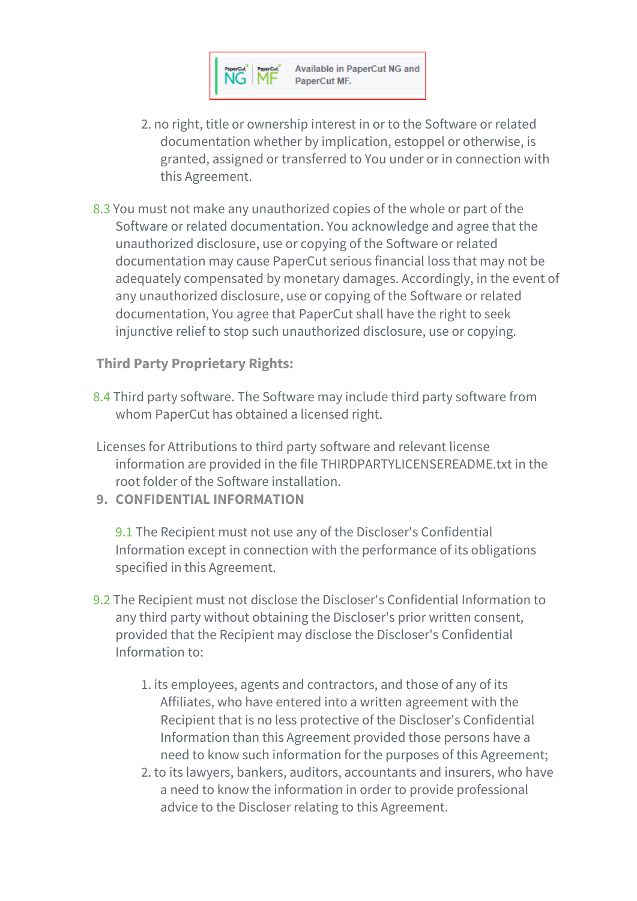

- 2. no right, title or ownership interest in or to the Software or related documentation whether by implication, estoppel or otherwise, is granted, assigned or transferred to You under or in connection with this Agreement.
- 8.3 You must not make any unauthorized copies of the whole or part of the Software or related documentation. You acknowledge and agree that the unauthorized disclosure, use or copying of the Software or related documentation may cause PaperCut serious financial loss that may not be adequately compensated by monetary damages. Accordingly, in the event of any unauthorized disclosure, use or copying of the Software or related documentation, You agree that PaperCut shall have the right to seek injunctive relief to stop such unauthorized disclosure, use or copying.

**Third Party Proprietary Rights:**

- 8.4 Third party software. The Software may include third party software from whom PaperCut has obtained a licensed right.
- Licenses for Attributions to third party software and relevant license information are provided in the file THIRDPARTYLICENSEREADME.txt in the root folder of the Software installation.
- **9. CONFIDENTIAL INFORMATION**

9.1 The Recipient must not use any of the Discloser's Confidential Information except in connection with the performance of its obligations specified in this Agreement.

- 9.2 The Recipient must not disclose the Discloser's Confidential Information to any third party without obtaining the Discloser's prior written consent, provided that the Recipient may disclose the Discloser's Confidential Information to:
	- 1. its employees, agents and contractors, and those of any of its Affiliates, who have entered into a written agreement with the Recipient that is no less protective of the Discloser's Confidential Information than this Agreement provided those persons have a need to know such information for the purposes of this Agreement;
	- 2. to its lawyers, bankers, auditors, accountants and insurers, who have a need to know the information in order to provide professional advice to the Discloser relating to this Agreement.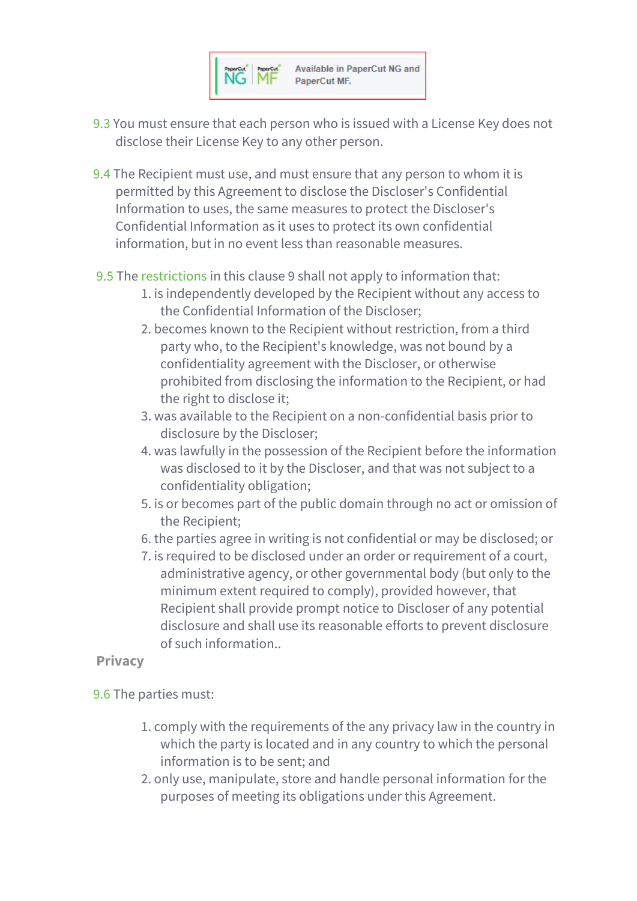

- 9.3 You must ensure that each person who is issued with a License Key does not disclose their License Key to any other person.
- 9.4 The Recipient must use, and must ensure that any person to whom it is permitted by this Agreement to disclose the Discloser's Confidential Information to uses, the same measures to protect the Discloser's Confidential Information as it uses to protect its own confidential information, but in no event less than reasonable measures.
- 9.5 The [restrictions](javascript:void(0);) in this clause 9 shall not apply to information that:
	- 1. is independently developed by the Recipient without any access to the Confidential Information of the Discloser;
	- 2. becomes known to the Recipient without restriction, from a third party who, to the Recipient's knowledge, was not bound by a confidentiality agreement with the Discloser, or otherwise prohibited from disclosing the information to the Recipient, or had the right to disclose it;
	- 3. was available to the Recipient on a non-confidential basis prior to disclosure by the Discloser;
	- 4. was lawfully in the possession of the Recipient before the information was disclosed to it by the Discloser, and that was not subject to a confidentiality obligation;
	- 5. is or becomes part of the public domain through no act or omission of the Recipient;
	- 6. the parties agree in writing is not confidential or may be disclosed; or
	- 7. is required to be disclosed under an order or requirement of a court, administrative agency, or other governmental body (but only to the minimum extent required to comply), provided however, that Recipient shall provide prompt notice to Discloser of any potential disclosure and shall use its reasonable efforts to prevent disclosure of such information..

# **Privacy**

- 9.6 The parties must:
	- 1. comply with the requirements of the any privacy law in the country in which the party is located and in any country to which the personal information is to be sent; and
	- 2. only use, manipulate, store and handle personal information for the purposes of meeting its obligations under this Agreement.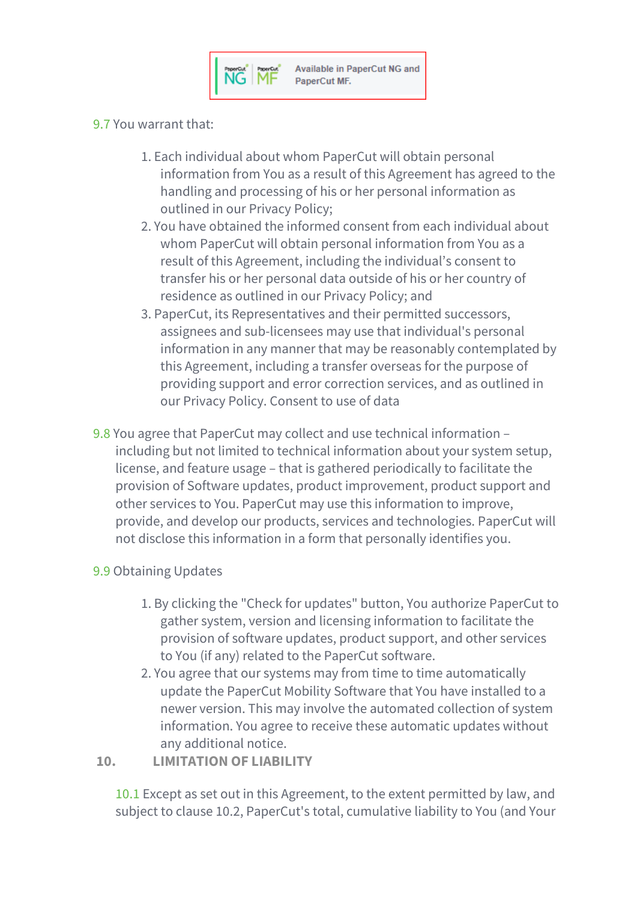#### 9.7 You warrant that:

- 1. Each individual about whom PaperCut will obtain personal information from You as a result of this Agreement has agreed to the handling and processing of his or her personal information as outlined in our Privacy Policy;
- 2. You have obtained the informed consent from each individual about whom PaperCut will obtain personal information from You as a result of this Agreement, including the individual's consent to transfer his or her personal data outside of his or her country of residence as outlined in our Privacy Policy; and
- 3. PaperCut, its Representatives and their permitted successors, assignees and sub-licensees may use that individual's personal information in any manner that may be reasonably contemplated by this Agreement, including a transfer overseas for the purpose of providing support and error correction services, and as outlined in our Privacy Policy. Consent to use of data
- 9.8 You agree that PaperCut may collect and use technical information including but not limited to technical information about your system setup, license, and feature usage – that is gathered periodically to facilitate the provision of Software updates, product improvement, product support and other services to You. PaperCut may use this information to improve, provide, and develop our products, services and technologies. PaperCut will not disclose this information in a form that personally identifies you.

#### 9.9 Obtaining Updates

- 1. By clicking the "Check for updates" button, You authorize PaperCut to gather system, version and licensing information to facilitate the provision of software updates, product support, and other services to You (if any) related to the PaperCut software.
- 2. You agree that our systems may from time to time automatically update the PaperCut Mobility Software that You have installed to a newer version. This may involve the automated collection of system information. You agree to receive these automatic updates without any additional notice.

#### **10. LIMITATION OF LIABILITY**

10.1 Except as set out in this Agreement, to the extent permitted by law, and subject to clause 10.2, PaperCut's total, cumulative liability to You (and Your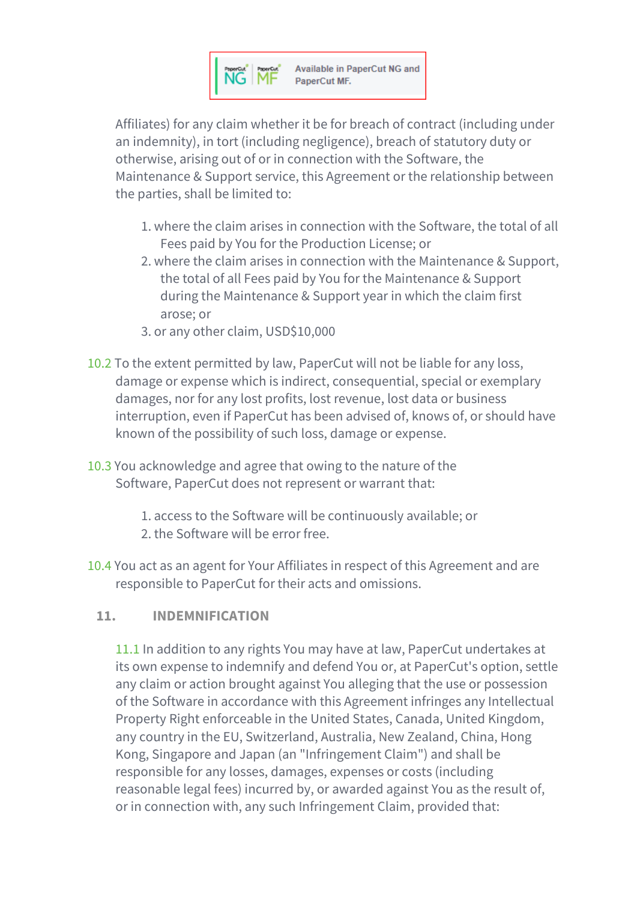

Affiliates) for any claim whether it be for breach of contract (including under an indemnity), in tort (including negligence), breach of statutory duty or otherwise, arising out of or in connection with the Software, the Maintenance & Support service, this Agreement or the relationship between the parties, shall be limited to:

- 1. where the claim arises in connection with the Software, the total of all Fees paid by You for the Production License; or
- 2. where the claim arises in connection with the Maintenance & Support, the total of all Fees paid by You for the Maintenance & Support during the Maintenance & Support year in which the claim first arose; or
- 3. or any other claim, USD\$10,000
- 10.2 To the extent permitted by law, PaperCut will not be liable for any loss, damage or expense which is indirect, consequential, special or exemplary damages, nor for any lost profits, lost revenue, lost data or business interruption, even if PaperCut has been advised of, knows of, or should have known of the possibility of such loss, damage or expense.
- 10.3 You acknowledge and agree that owing to the nature of the Software, PaperCut does not represent or warrant that:
	- 1. access to the Software will be continuously available; or 2. the Software will be error free.
- 10.4 You act as an agent for Your Affiliates in respect of this Agreement and are responsible to PaperCut for their acts and omissions.

# **11. INDEMNIFICATION**

11.1 In addition to any rights You may have at law, PaperCut undertakes at its own expense to indemnify and defend You or, at PaperCut's option, settle any claim or action brought against You alleging that the use or possession of the Software in accordance with this Agreement infringes any Intellectual Property Right enforceable in the United States, Canada, United Kingdom, any country in the EU, Switzerland, Australia, New Zealand, China, Hong Kong, Singapore and Japan (an "Infringement Claim") and shall be responsible for any losses, damages, expenses or costs (including reasonable legal fees) incurred by, or awarded against You as the result of, or in connection with, any such Infringement Claim, provided that: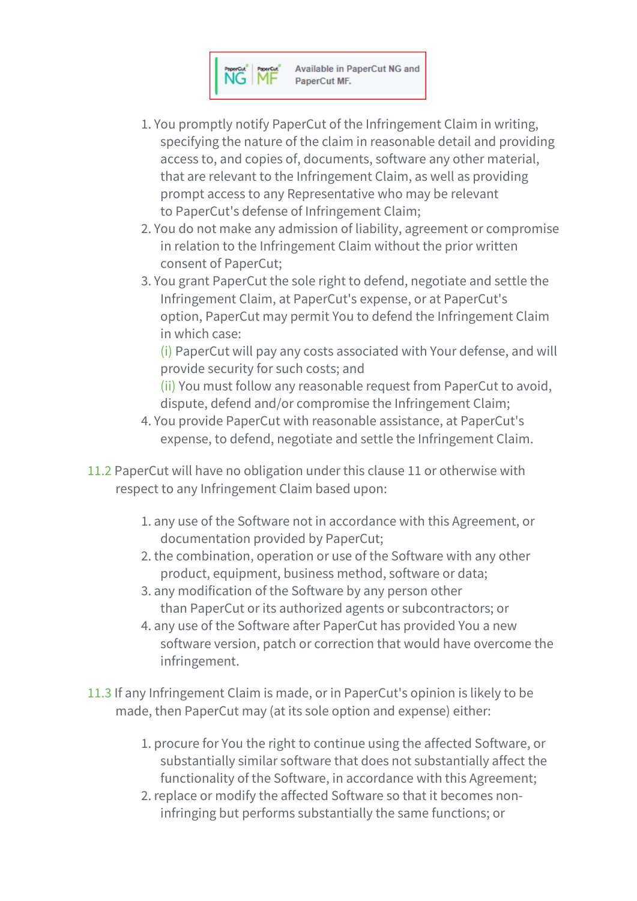

- 1. You promptly notify PaperCut of the Infringement Claim in writing, specifying the nature of the claim in reasonable detail and providing access to, and copies of, documents, software any other material, that are relevant to the Infringement Claim, as well as providing prompt access to any Representative who may be relevant to PaperCut's defense of Infringement Claim;
- 2. You do not make any admission of liability, agreement or compromise in relation to the Infringement Claim without the prior written consent of PaperCut;
- 3. You grant PaperCut the sole right to defend, negotiate and settle the Infringement Claim, at PaperCut's expense, or at PaperCut's option, PaperCut may permit You to defend the Infringement Claim in which case:

(i) PaperCut will pay any costs associated with Your defense, and will provide security for such costs; and

(ii) You must follow any reasonable request from PaperCut to avoid, dispute, defend and/or compromise the Infringement Claim;

- 4. You provide PaperCut with reasonable assistance, at PaperCut's expense, to defend, negotiate and settle the Infringement Claim.
- 11.2 PaperCut will have no obligation under this clause 11 or otherwise with respect to any Infringement Claim based upon:
	- 1. any use of the Software not in accordance with this Agreement, or documentation provided by PaperCut;
	- 2. the combination, operation or use of the Software with any other product, equipment, business method, software or data;
	- 3. any modification of the Software by any person other than PaperCut or its authorized agents or subcontractors; or
	- 4. any use of the Software after PaperCut has provided You a new software version, patch or correction that would have overcome the infringement.
- 11.3 If any Infringement Claim is made, or in PaperCut's opinion is likely to be made, then PaperCut may (at its sole option and expense) either:
	- 1. procure for You the right to continue using the affected Software, or substantially similar software that does not substantially affect the functionality of the Software, in accordance with this Agreement;
	- 2. replace or modify the affected Software so that it becomes noninfringing but performs substantially the same functions; or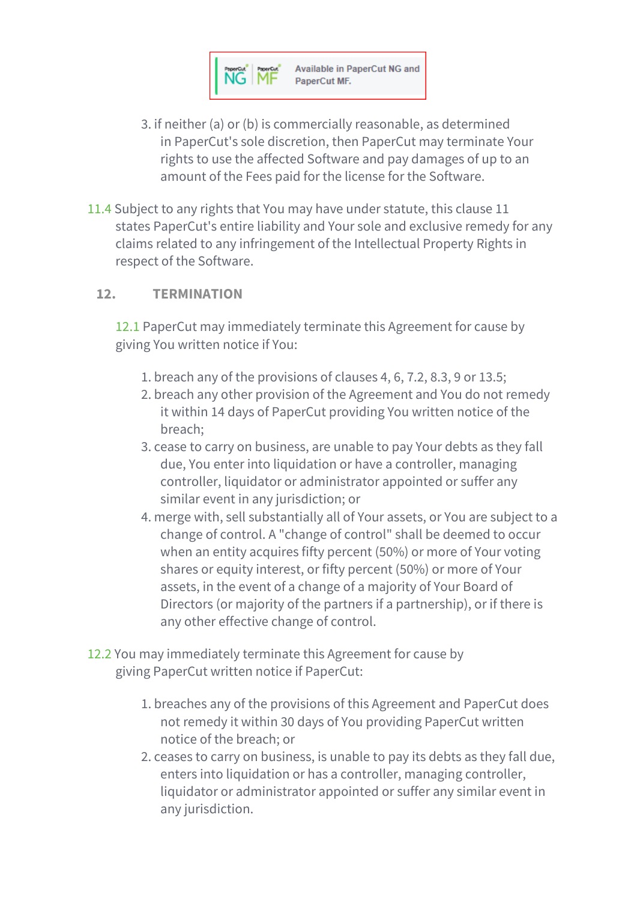

- 3. if neither (a) or (b) is commercially reasonable, as determined in PaperCut's sole discretion, then PaperCut may terminate Your rights to use the affected Software and pay damages of up to an amount of the Fees paid for the license for the Software.
- 11.4 Subject to any rights that You may have under statute, this clause 11 states PaperCut's entire liability and Your sole and exclusive remedy for any claims related to any infringement of the Intellectual Property Rights in respect of the Software.

#### **12. TERMINATION**

12.1 PaperCut may immediately terminate this Agreement for cause by giving You written notice if You:

- 1. breach any of the provisions of clauses 4, 6, 7.2, 8.3, 9 or 13.5;
- 2. breach any other provision of the Agreement and You do not remedy it within 14 days of PaperCut providing You written notice of the breach;
- 3. cease to carry on business, are unable to pay Your debts as they fall due, You enter into liquidation or have a controller, managing controller, liquidator or administrator appointed or suffer any similar event in any jurisdiction; or
- 4. merge with, sell substantially all of Your assets, or You are subject to a change of control. A "change of control" shall be deemed to occur when an entity acquires fifty percent (50%) or more of Your voting shares or equity interest, or fifty percent (50%) or more of Your assets, in the event of a change of a majority of Your Board of Directors (or majority of the partners if a partnership), or if there is any other effective change of control.
- 12.2 You may immediately terminate this Agreement for cause by giving PaperCut written notice if PaperCut:
	- 1. breaches any of the provisions of this Agreement and PaperCut does not remedy it within 30 days of You providing PaperCut written notice of the breach; or
	- 2. ceases to carry on business, is unable to pay its debts as they fall due, enters into liquidation or has a controller, managing controller, liquidator or administrator appointed or suffer any similar event in any jurisdiction.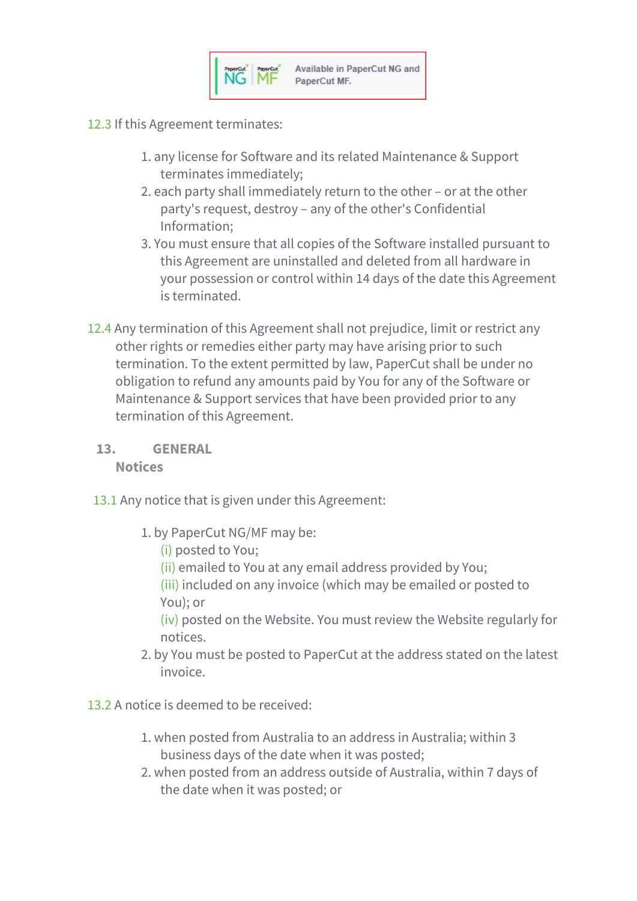

- 12.3 If this Agreement terminates:
	- 1. any license for Software and its related Maintenance & Support terminates immediately;
	- 2. each party shall immediately return to the other or at the other party's request, destroy – any of the other's Confidential Information;
	- 3. You must ensure that all copies of the Software installed pursuant to this Agreement are uninstalled and deleted from all hardware in your possession or control within 14 days of the date this Agreement is terminated.
- 12.4 Any termination of this Agreement shall not prejudice, limit or restrict any other rights or remedies either party may have arising prior to such termination. To the extent permitted by law, PaperCut shall be under no obligation to refund any amounts paid by You for any of the Software or Maintenance & Support services that have been provided prior to any termination of this Agreement.

#### **13. GENERAL**

**Notices**

- 13.1 Any notice that is given under this Agreement:
	- 1. by PaperCut NG/MF may be:
		- (i) posted to You;
		- (ii) emailed to You at any email address provided by You;
		- (iii) included on any invoice (which may be emailed or posted to You); or

(iv) posted on the Website. You must review the Website regularly for notices.

- 2. by You must be posted to PaperCut at the address stated on the latest invoice.
- 13.2 A notice is deemed to be received:
	- 1. when posted from Australia to an address in Australia; within 3 business days of the date when it was posted;
	- 2. when posted from an address outside of Australia, within 7 days of the date when it was posted; or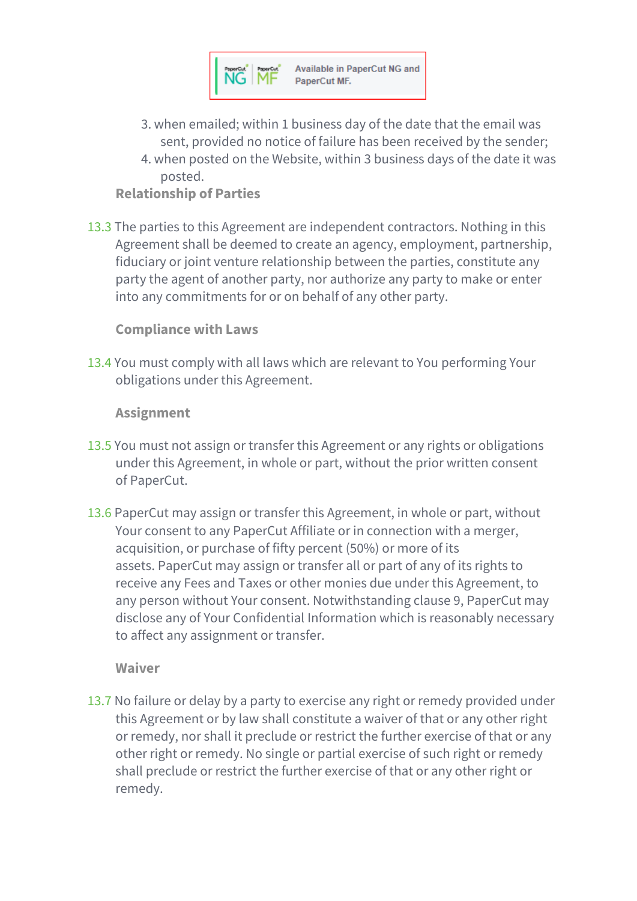

- 3. when emailed; within 1 business day of the date that the email was sent, provided no notice of failure has been received by the sender;
- 4. when posted on the Website, within 3 business days of the date it was posted.

## **Relationship of Parties**

13.3 The parties to this Agreement are independent contractors. Nothing in this Agreement shall be deemed to create an agency, employment, partnership, fiduciary or joint venture relationship between the parties, constitute any party the agent of another party, nor authorize any party to make or enter into any commitments for or on behalf of any other party.

#### **Compliance with Laws**

13.4 You must comply with all laws which are relevant to You performing Your obligations under this Agreement.

#### **Assignment**

- 13.5 You must not assign or transfer this Agreement or any rights or obligations under this Agreement, in whole or part, without the prior written consent of PaperCut.
- 13.6 PaperCut may assign or transfer this Agreement, in whole or part, without Your consent to any PaperCut Affiliate or in connection with a merger, acquisition, or purchase of fifty percent (50%) or more of its assets. PaperCut may assign or transfer all or part of any of its rights to receive any Fees and Taxes or other monies due under this Agreement, to any person without Your consent. Notwithstanding clause 9, PaperCut may disclose any of Your Confidential Information which is reasonably necessary to affect any assignment or transfer.

#### **Waiver**

13.7 No failure or delay by a party to exercise any right or remedy provided under this Agreement or by law shall constitute a waiver of that or any other right or remedy, nor shall it preclude or restrict the further exercise of that or any other right or remedy. No single or partial exercise of such right or remedy shall preclude or restrict the further exercise of that or any other right or remedy.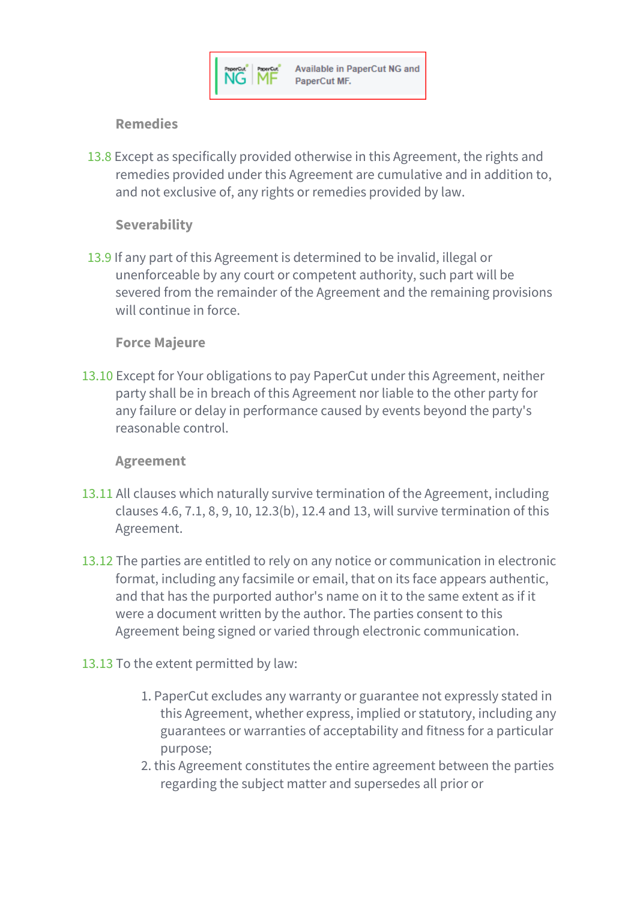## **Remedies**

13.8 Except as specifically provided otherwise in this Agreement, the rights and remedies provided under this Agreement are cumulative and in addition to, and not exclusive of, any rights or remedies provided by law.

#### **Severability**

13.9 If any part of this Agreement is determined to be invalid, illegal or unenforceable by any court or competent authority, such part will be severed from the remainder of the Agreement and the remaining provisions will continue in force

#### **Force Majeure**

13.10 Except for Your obligations to pay PaperCut under this Agreement, neither party shall be in breach of this Agreement nor liable to the other party for any failure or delay in performance caused by events beyond the party's reasonable control.

#### **Agreement**

- 13.11 All clauses which naturally survive termination of the Agreement, including clauses 4.6, 7.1, 8, 9, 10, 12.3(b), 12.4 and 13, will survive termination of this Agreement.
- 13.12 The parties are entitled to rely on any notice or communication in electronic format, including any facsimile or email, that on its face appears authentic, and that has the purported author's name on it to the same extent as if it were a document written by the author. The parties consent to this Agreement being signed or varied through electronic communication.

#### 13.13 To the extent permitted by law:

- 1. PaperCut excludes any warranty or guarantee not expressly stated in this Agreement, whether express, implied or statutory, including any guarantees or warranties of acceptability and fitness for a particular purpose;
- 2. this Agreement constitutes the entire agreement between the parties regarding the subject matter and supersedes all prior or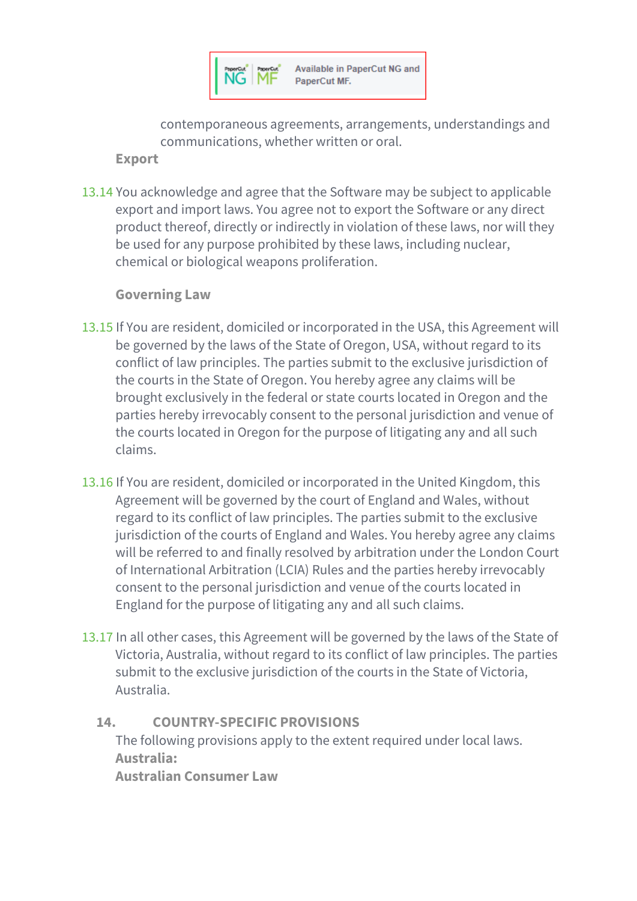

contemporaneous agreements, arrangements, understandings and communications, whether written or oral.

**Export**

13.14 You acknowledge and agree that the Software may be subject to applicable export and import laws. You agree not to export the Software or any direct product thereof, directly or indirectly in violation of these laws, nor will they be used for any purpose prohibited by these laws, including nuclear, chemical or biological weapons proliferation.

**Governing Law**

- 13.15 If You are resident, domiciled or incorporated in the USA, this Agreement will be governed by the laws of the State of Oregon, USA, without regard to its conflict of law principles. The parties submit to the exclusive jurisdiction of the courts in the State of Oregon. You hereby agree any claims will be brought exclusively in the federal or state courts located in Oregon and the parties hereby irrevocably consent to the personal jurisdiction and venue of the courts located in Oregon for the purpose of litigating any and all such claims.
- 13.16 If You are resident, domiciled or incorporated in the United Kingdom, this Agreement will be governed by the court of England and Wales, without regard to its conflict of law principles. The parties submit to the exclusive jurisdiction of the courts of England and Wales. You hereby agree any claims will be referred to and finally resolved by arbitration under the London Court of International Arbitration (LCIA) Rules and the parties hereby irrevocably consent to the personal jurisdiction and venue of the courts located in England for the purpose of litigating any and all such claims.
- 13.17 In all other cases, this Agreement will be governed by the laws of the State of Victoria, Australia, without regard to its conflict of law principles. The parties submit to the exclusive jurisdiction of the courts in the State of Victoria, Australia.

# **14. COUNTRY-SPECIFIC PROVISIONS**

The following provisions apply to the extent required under local laws. **Australia: Australian Consumer Law**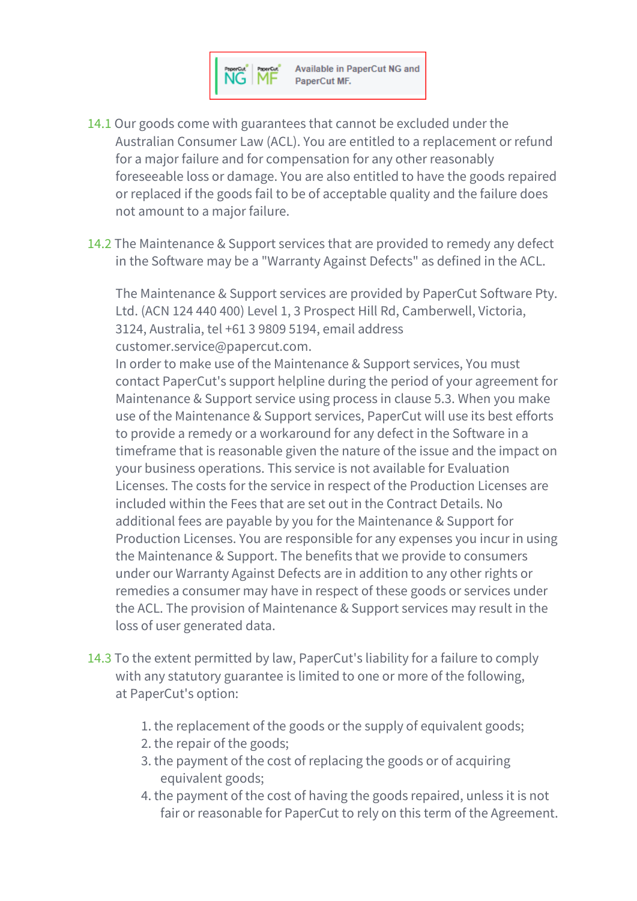

- 14.1 Our goods come with guarantees that cannot be excluded under the Australian Consumer Law (ACL). You are entitled to a replacement or refund for a major failure and for compensation for any other reasonably foreseeable loss or damage. You are also entitled to have the goods repaired or replaced if the goods fail to be of acceptable quality and the failure does not amount to a major failure.
- 14.2 The Maintenance & Support services that are provided to remedy any defect in the Software may be a "Warranty Against Defects" as defined in the ACL.

The Maintenance & Support services are provided by PaperCut Software Pty. Ltd. (ACN 124 440 400) Level 1, 3 Prospect Hill Rd, Camberwell, Victoria, 3124, Australia, tel +61 3 9809 5194, email address customer.service@papercut.com.

In order to make use of the Maintenance & Support services, You must contact PaperCut's support helpline during the period of your agreement for Maintenance & Support service using process in clause 5.3. When you make use of the Maintenance & Support services, PaperCut will use its best efforts to provide a remedy or a workaround for any defect in the Software in a timeframe that is reasonable given the nature of the issue and the impact on your business operations. This service is not available for Evaluation Licenses. The costs for the service in respect of the Production Licenses are included within the Fees that are set out in the Contract Details. No additional fees are payable by you for the Maintenance & Support for Production Licenses. You are responsible for any expenses you incur in using the Maintenance & Support. The benefits that we provide to consumers under our Warranty Against Defects are in addition to any other rights or remedies a consumer may have in respect of these goods or services under the ACL. The provision of Maintenance & Support services may result in the loss of user generated data.

- 14.3 To the extent permitted by law, PaperCut's liability for a failure to comply with any statutory guarantee is limited to one or more of the following, at PaperCut's option:
	- 1. the replacement of the goods or the supply of equivalent goods;
	- 2. the repair of the goods;
	- 3. the payment of the cost of replacing the goods or of acquiring equivalent goods;
	- 4. the payment of the cost of having the goods repaired, unless it is not fair or reasonable for PaperCut to rely on this term of the Agreement.